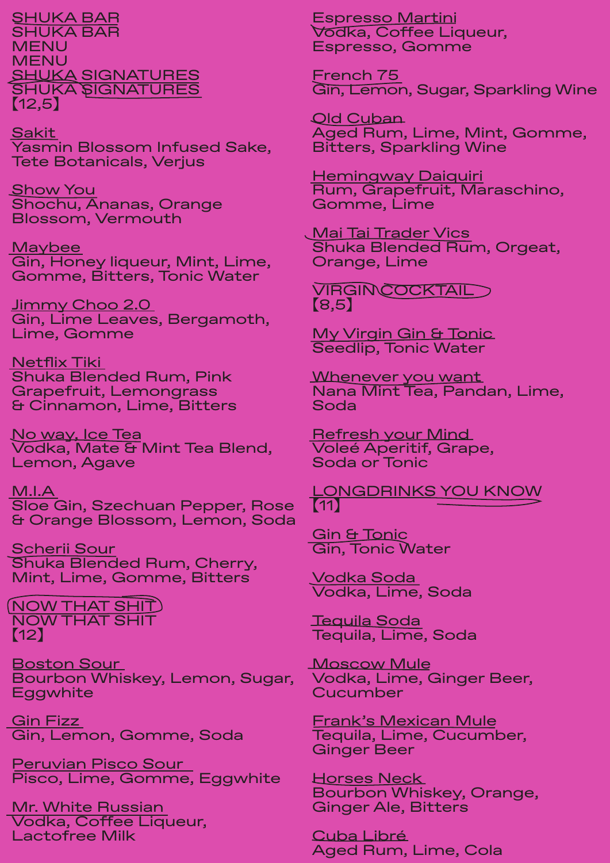SHUKA BAR SHUKA BAR MENU MENU SHUKA SIGNATURES SHUKA SIGNATURES 【12,5】

Sakit Yasmin Blossom Infused Sake, Tete Botanicals, Verjus

Show You Shochu, Ananas, Orange Blossom, Vermouth

**Maybee** Gin, Honey liqueur, Mint, Lime, Gomme, Bitters, Tonic Water

<u>Jimmy Choo 2.0</u> Gin, Lime Leaves, Bergamoth, Lime, Gomme

<u>Netflix Tiki </u> Shuka Blended Rum, Pink Grapefruit, Lemongrass & Cinnamon, Lime, Bitters

No way, Ice Tea Vodka, Mate & Mint Tea Blend, Lemon, Agave

M.I.A Sloe Gin, Szechuan Pepper, Rose & Orange Blossom, Lemon, Soda

Scherii Sour Shuka Blended Rum, Cherry, Mint, Lime, Gomme, Bitters

(NOW THAT SHIT) NOW THAT SHIT 【12】

Boston Sour Bourbon Whiskey, Lemon, Sugar, **Eggwhite** 

<u>Gin Fizz</u> Gin, Lemon, Gomme, Soda

Peruvian Pisco Sour Pisco, Lime, Gomme, Eggwhite

Mr. White Russian Vodka, Coffee Liqueur, Lactofree Milk

Espresso Martini Vodka, Coffee Liqueur, Espresso, Gomme

French 75 Gin, Lemon, Sugar, Sparkling Wine

Old Cuban Aged Rum, Lime, Mint, Gomme, Bitters, Sparkling Wine

Hemingway Daiquiri Rum, Grapefruit, Maraschino, Gomme, Lime

**Mai Tai Trader Vics** Shuka Blended Rum, Orgeat, Orange, Lime

VIRGIN COCKTAIL 【8,5】

My Virgin Gin & Tonic Seedlip, Tonic Water

Whenever you want Nana Mint Tea, Pandan, Lime, Soda

Refresh your Mind Voleé Aperitif, Grape, Soda or Tonic

LONGDRINKS YOU KNOW 【11】

Gin & Tonic Gin, Tonic Water

Vodka Soda Vodka, Lime, Soda

Tequila Soda Tequila, Lime, Soda

Moscow Mule Vodka, Lime, Ginger Beer, **Cucumber** 

Frank's Mexican Mule Tequila, Lime, Cucumber, Ginger Beer

Horses Neck Bourbon Whiskey, Orange, Ginger Ale, Bitters

Cuba Libré Aged Rum, Lime, Cola